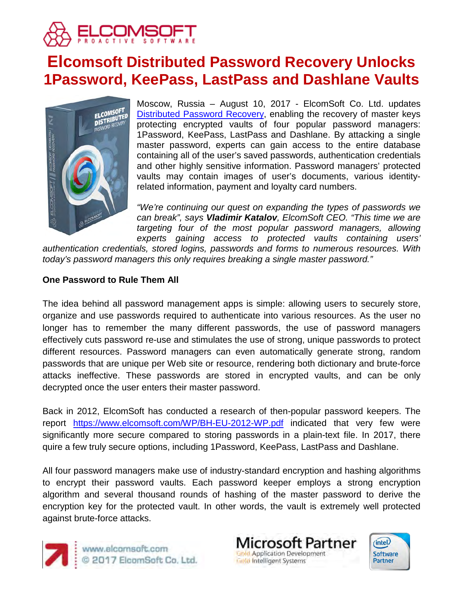

# **Elcomsoft Distributed Password Recovery Unlocks 1Password, KeePass, LastPass and Dashlane Vaults**



Moscow, Russia – August 10, 2017 - ElcomSoft Co. Ltd. updates [Distributed Password Recovery,](https://www.elcomsoft.ru/edpr.html) enabling the recovery of master keys protecting encrypted vaults of four popular password managers: 1Password, KeePass, LastPass and Dashlane. By attacking a single master password, experts can gain access to the entire database containing all of the user's saved passwords, authentication credentials and other highly sensitive information. Password managers' protected vaults may contain images of user's documents, various identityrelated information, payment and loyalty card numbers.

*"We're continuing our quest on expanding the types of passwords we can break", says Vladimir Katalov, ElcomSoft CEO. "This time we are targeting four of the most popular password managers, allowing experts gaining access to protected vaults containing users'* 

*authentication credentials, stored logins, passwords and forms to numerous resources. With today's password managers this only requires breaking a single master password."*

### **One Password to Rule Them All**

The idea behind all password management apps is simple: allowing users to securely store, organize and use passwords required to authenticate into various resources. As the user no longer has to remember the many different passwords, the use of password managers effectively cuts password re-use and stimulates the use of strong, unique passwords to protect different resources. Password managers can even automatically generate strong, random passwords that are unique per Web site or resource, rendering both dictionary and brute-force attacks ineffective. These passwords are stored in encrypted vaults, and can be only decrypted once the user enters their master password.

Back in 2012, ElcomSoft has conducted a research of then-popular password keepers. The report <https://www.elcomsoft.com/WP/BH-EU-2012-WP.pdf> indicated that very few were significantly more secure compared to storing passwords in a plain-text file. In 2017, there quire a few truly secure options, including 1Password, KeePass, LastPass and Dashlane.

All four password managers make use of industry-standard encryption and hashing algorithms to encrypt their password vaults. Each password keeper employs a strong encryption algorithm and several thousand rounds of hashing of the master password to derive the encryption key for the protected vault. In other words, the vault is extremely well protected against brute-force attacks.



www.elcomsoft.com © 2017 ElcomSoft Co. Ltd.



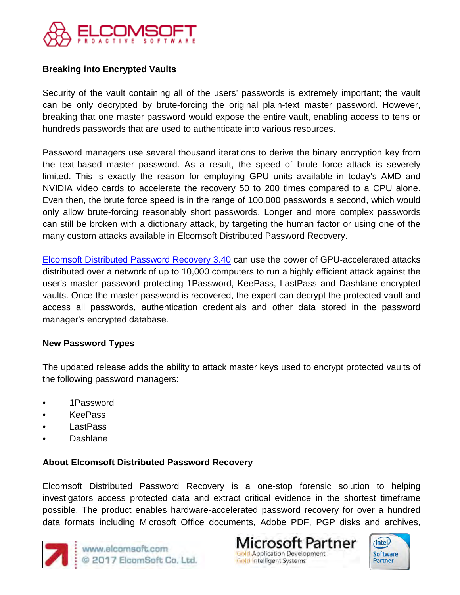

## **Breaking into Encrypted Vaults**

Security of the vault containing all of the users' passwords is extremely important; the vault can be only decrypted by brute-forcing the original plain-text master password. However, breaking that one master password would expose the entire vault, enabling access to tens or hundreds passwords that are used to authenticate into various resources.

Password managers use several thousand iterations to derive the binary encryption key from the text-based master password. As a result, the speed of brute force attack is severely limited. This is exactly the reason for employing GPU units available in today's AMD and NVIDIA video cards to accelerate the recovery 50 to 200 times compared to a CPU alone. Even then, the brute force speed is in the range of 100,000 passwords a second, which would only allow brute-forcing reasonably short passwords. Longer and more complex passwords can still be broken with a dictionary attack, by targeting the human factor or using one of the many custom attacks available in Elcomsoft Distributed Password Recovery.

[Elcomsoft Distributed Password Recovery 3.40](https://www.elcomsoft.ru/edpr.html) can use the power of GPU-accelerated attacks distributed over a network of up to 10,000 computers to run a highly efficient attack against the user's master password protecting 1Password, KeePass, LastPass and Dashlane encrypted vaults. Once the master password is recovered, the expert can decrypt the protected vault and access all passwords, authentication credentials and other data stored in the password manager's encrypted database.

#### **New Password Types**

The updated release adds the ability to attack master keys used to encrypt protected vaults of the following password managers:

- 1Password
- KeePass
- LastPass
- Dashlane

#### **About Elcomsoft Distributed Password Recovery**

Elcomsoft Distributed Password Recovery is a one-stop forensic solution to helping investigators access protected data and extract critical evidence in the shortest timeframe possible. The product enables hardware-accelerated password recovery for over a hundred data formats including Microsoft Office documents, Adobe PDF, PGP disks and archives,



www.elcomsoft.com<br>© 2017 ElcomSoft Co, Ltd.

icrosoft Partner **Gold Application Development Gold Intelligent Systems**